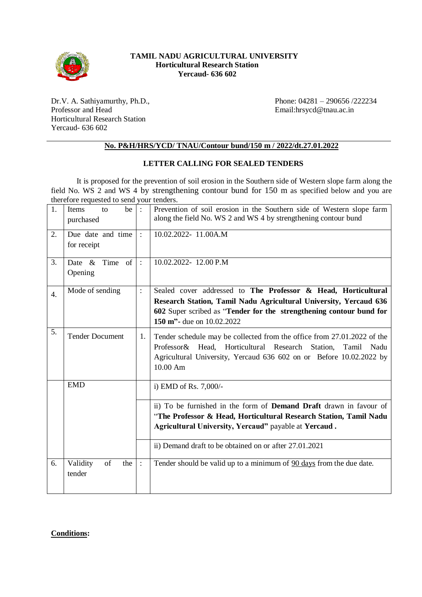

## **TAMIL NADU AGRICULTURAL UNIVERSITY Horticultural Research Station Yercaud- 636 602**

Dr.V. A. Sathiyamurthy, Ph.D., Professor and Head Horticultural Research Station Yercaud- 636 602

Phone: 04281 – 290656 /222234 Email:hrsycd@tnau.ac.in

## **No. P&H/HRS/YCD/ TNAU/Contour bund/150 m / 2022/dt.27.01.2022**

## **LETTER CALLING FOR SEALED TENDERS**

It is proposed for the prevention of soil erosion in the Southern side of Western slope farm along the field No. WS 2 and WS 4 by strengthening contour bund for 150 m as specified below and you are therefore requested to send your tenders.

| 1. | Items<br>be<br>to               | $\therefore$   | Prevention of soil erosion in the Southern side of Western slope farm                                                                                                                                                            |
|----|---------------------------------|----------------|----------------------------------------------------------------------------------------------------------------------------------------------------------------------------------------------------------------------------------|
|    | purchased                       |                | along the field No. WS 2 and WS 4 by strengthening contour bund                                                                                                                                                                  |
| 2. | Due date and time               | $\cdot$        | 10.02.2022-11.00A.M                                                                                                                                                                                                              |
|    | for receipt                     |                |                                                                                                                                                                                                                                  |
| 3. | of 1<br>Date $\&$<br>Time       | $\therefore$   | 10.02.2022-12.00 P.M                                                                                                                                                                                                             |
|    | Opening                         |                |                                                                                                                                                                                                                                  |
| 4. | Mode of sending                 | $\ddot{\cdot}$ | Sealed cover addressed to The Professor & Head, Horticultural                                                                                                                                                                    |
|    |                                 |                | Research Station, Tamil Nadu Agricultural University, Yercaud 636<br>602 Super scribed as "Tender for the strengthening contour bund for<br>150 m"- due on 10.02.2022                                                            |
| 5. | <b>Tender Document</b>          | 1.             | Tender schedule may be collected from the office from 27.01.2022 of the<br>Professor & Head, Horticultural Research Station,<br>Tamil<br>Nadu<br>Agricultural University, Yercaud 636 602 on or Before 10.02.2022 by<br>10.00 Am |
|    | <b>EMD</b>                      |                | i) EMD of Rs. $7,000/-$                                                                                                                                                                                                          |
|    |                                 |                | ii) To be furnished in the form of <b>Demand Draft</b> drawn in favour of                                                                                                                                                        |
|    |                                 |                | "The Professor & Head, Horticultural Research Station, Tamil Nadu                                                                                                                                                                |
|    |                                 |                | Agricultural University, Yercaud" payable at Yercaud.                                                                                                                                                                            |
|    |                                 |                | ii) Demand draft to be obtained on or after 27.01.2021                                                                                                                                                                           |
| 6. | Validity<br>of<br>the<br>tender | $\cdot$        | Tender should be valid up to a minimum of 90 days from the due date.                                                                                                                                                             |

## **Conditions:**